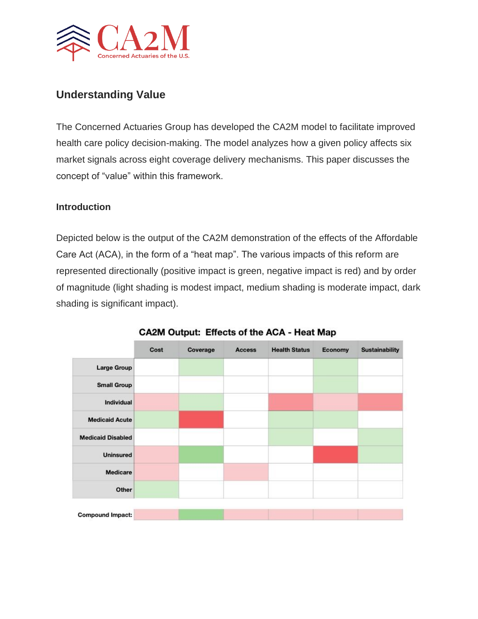

## **Understanding Value**

The Concerned Actuaries Group has developed the CA2M model to facilitate improved health care policy decision-making. The model analyzes how a given policy affects six market signals across eight coverage delivery mechanisms. This paper discusses the concept of "value" within this framework.

#### **Introduction**

Depicted below is the output of the CA2M demonstration of the effects of the Affordable Care Act (ACA), in the form of a "heat map". The various impacts of this reform are represented directionally (positive impact is green, negative impact is red) and by order of magnitude (light shading is modest impact, medium shading is moderate impact, dark shading is significant impact).

|                          | Cost | Coverage | <b>Access</b> | <b>Health Status</b> | Economy | <b>Sustainability</b> |
|--------------------------|------|----------|---------------|----------------------|---------|-----------------------|
| <b>Large Group</b>       |      |          |               |                      |         |                       |
| <b>Small Group</b>       |      |          |               |                      |         |                       |
| Individual               |      |          |               |                      |         |                       |
| <b>Medicaid Acute</b>    |      |          |               |                      |         |                       |
| <b>Medicaid Disabled</b> |      |          |               |                      |         |                       |
| <b>Uninsured</b>         |      |          |               |                      |         |                       |
| <b>Medicare</b>          |      |          |               |                      |         |                       |
| Other                    |      |          |               |                      |         |                       |
| <b>Compound Impact:</b>  |      |          |               |                      |         |                       |

#### CA2M Output: Effects of the ACA - Heat Map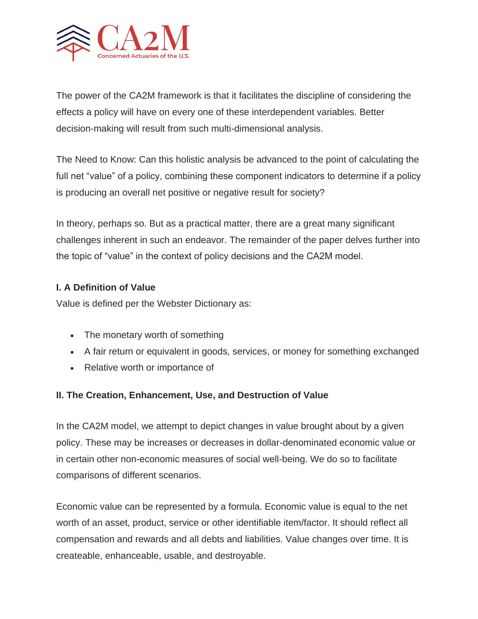

The power of the CA2M framework is that it facilitates the discipline of considering the effects a policy will have on every one of these interdependent variables. Better decision-making will result from such multi-dimensional analysis.

The Need to Know: Can this holistic analysis be advanced to the point of calculating the full net "value" of a policy, combining these component indicators to determine if a policy is producing an overall net positive or negative result for society?

In theory, perhaps so. But as a practical matter, there are a great many significant challenges inherent in such an endeavor. The remainder of the paper delves further into the topic of "value" in the context of policy decisions and the CA2M model.

#### **I. A Definition of Value**

Value is defined per the Webster Dictionary as:

- The monetary worth of something
- A fair return or equivalent in goods, services, or money for something exchanged
- Relative worth or importance of

### **II. The Creation, Enhancement, Use, and Destruction of Value**

In the CA2M model, we attempt to depict changes in value brought about by a given policy. These may be increases or decreases in dollar-denominated economic value or in certain other non-economic measures of social well-being. We do so to facilitate comparisons of different scenarios.

Economic value can be represented by a formula. Economic value is equal to the net worth of an asset, product, service or other identifiable item/factor. It should reflect all compensation and rewards and all debts and liabilities. Value changes over time. It is createable, enhanceable, usable, and destroyable.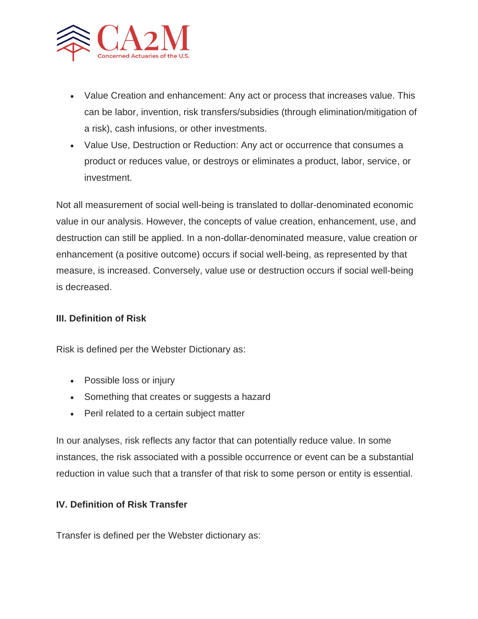

- Value Creation and enhancement: Any act or process that increases value. This can be labor, invention, risk transfers/subsidies (through elimination/mitigation of a risk), cash infusions, or other investments.
- Value Use, Destruction or Reduction: Any act or occurrence that consumes a product or reduces value, or destroys or eliminates a product, labor, service, or investment.

Not all measurement of social well-being is translated to dollar-denominated economic value in our analysis. However, the concepts of value creation, enhancement, use, and destruction can still be applied. In a non-dollar-denominated measure, value creation or enhancement (a positive outcome) occurs if social well-being, as represented by that measure, is increased. Conversely, value use or destruction occurs if social well-being is decreased.

#### **III. Definition of Risk**

Risk is defined per the Webster Dictionary as:

- Possible loss or injury
- Something that creates or suggests a hazard
- Peril related to a certain subject matter

In our analyses, risk reflects any factor that can potentially reduce value. In some instances, the risk associated with a possible occurrence or event can be a substantial reduction in value such that a transfer of that risk to some person or entity is essential.

#### **IV. Definition of Risk Transfer**

Transfer is defined per the Webster dictionary as: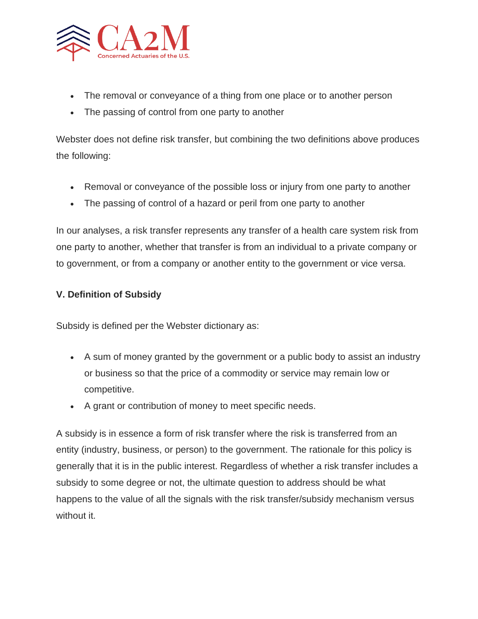

- The removal or conveyance of a thing from one place or to another person
- The passing of control from one party to another

Webster does not define risk transfer, but combining the two definitions above produces the following:

- Removal or conveyance of the possible loss or injury from one party to another
- The passing of control of a hazard or peril from one party to another

In our analyses, a risk transfer represents any transfer of a health care system risk from one party to another, whether that transfer is from an individual to a private company or to government, or from a company or another entity to the government or vice versa.

#### **V. Definition of Subsidy**

Subsidy is defined per the Webster dictionary as:

- A sum of money granted by the government or a public body to assist an industry or business so that the price of a commodity or service may remain low or competitive.
- A grant or contribution of money to meet specific needs.

A subsidy is in essence a form of risk transfer where the risk is transferred from an entity (industry, business, or person) to the government. The rationale for this policy is generally that it is in the public interest. Regardless of whether a risk transfer includes a subsidy to some degree or not, the ultimate question to address should be what happens to the value of all the signals with the risk transfer/subsidy mechanism versus without it.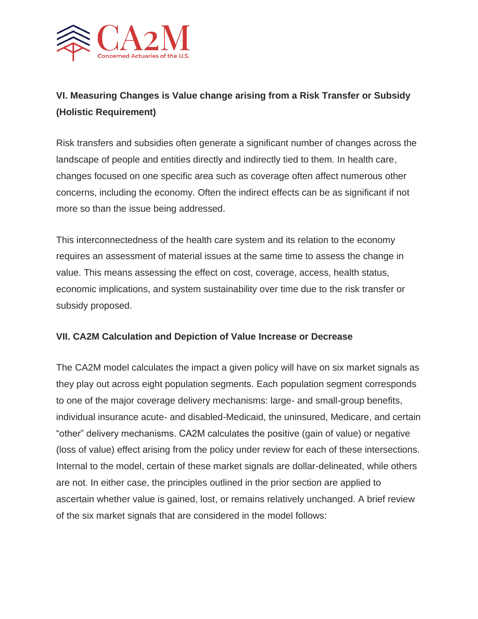

# **VI. Measuring Changes is Value change arising from a Risk Transfer or Subsidy (Holistic Requirement)**

Risk transfers and subsidies often generate a significant number of changes across the landscape of people and entities directly and indirectly tied to them. In health care, changes focused on one specific area such as coverage often affect numerous other concerns, including the economy. Often the indirect effects can be as significant if not more so than the issue being addressed.

This interconnectedness of the health care system and its relation to the economy requires an assessment of material issues at the same time to assess the change in value. This means assessing the effect on cost, coverage, access, health status, economic implications, and system sustainability over time due to the risk transfer or subsidy proposed.

#### **VII. CA2M Calculation and Depiction of Value Increase or Decrease**

The CA2M model calculates the impact a given policy will have on six market signals as they play out across eight population segments. Each population segment corresponds to one of the major coverage delivery mechanisms: large- and small-group benefits, individual insurance acute- and disabled-Medicaid, the uninsured, Medicare, and certain "other" delivery mechanisms. CA2M calculates the positive (gain of value) or negative (loss of value) effect arising from the policy under review for each of these intersections. Internal to the model, certain of these market signals are dollar-delineated, while others are not. In either case, the principles outlined in the prior section are applied to ascertain whether value is gained, lost, or remains relatively unchanged. A brief review of the six market signals that are considered in the model follows: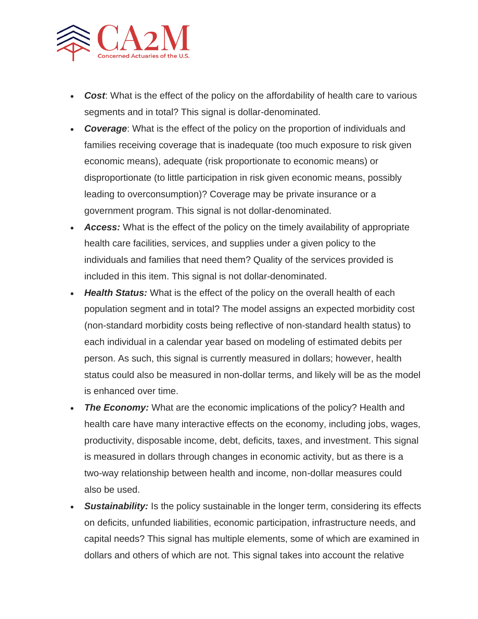

- *Cost*: What is the effect of the policy on the affordability of health care to various segments and in total? This signal is dollar-denominated.
- *Coverage*: What is the effect of the policy on the proportion of individuals and families receiving coverage that is inadequate (too much exposure to risk given economic means), adequate (risk proportionate to economic means) or disproportionate (to little participation in risk given economic means, possibly leading to overconsumption)? Coverage may be private insurance or a government program. This signal is not dollar-denominated.
- *Access:* What is the effect of the policy on the timely availability of appropriate health care facilities, services, and supplies under a given policy to the individuals and families that need them? Quality of the services provided is included in this item. This signal is not dollar-denominated.
- *Health Status:* What is the effect of the policy on the overall health of each population segment and in total? The model assigns an expected morbidity cost (non-standard morbidity costs being reflective of non-standard health status) to each individual in a calendar year based on modeling of estimated debits per person. As such, this signal is currently measured in dollars; however, health status could also be measured in non-dollar terms, and likely will be as the model is enhanced over time.
- *The Economy:* What are the economic implications of the policy? Health and health care have many interactive effects on the economy, including jobs, wages, productivity, disposable income, debt, deficits, taxes, and investment. This signal is measured in dollars through changes in economic activity, but as there is a two-way relationship between health and income, non-dollar measures could also be used.
- **Sustainability:** Is the policy sustainable in the longer term, considering its effects on deficits, unfunded liabilities, economic participation, infrastructure needs, and capital needs? This signal has multiple elements, some of which are examined in dollars and others of which are not. This signal takes into account the relative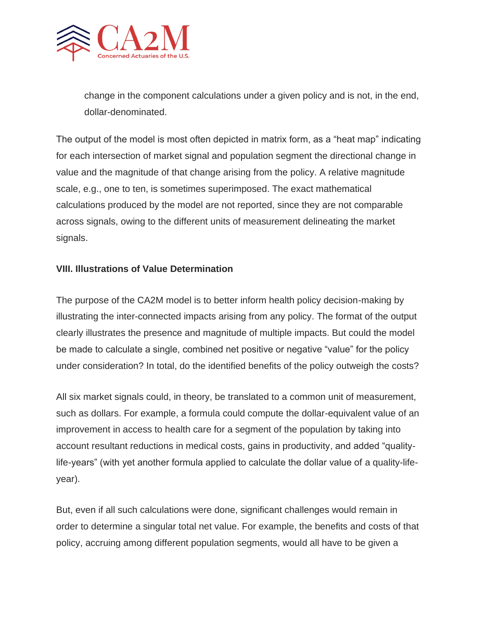

change in the component calculations under a given policy and is not, in the end, dollar-denominated.

The output of the model is most often depicted in matrix form, as a "heat map" indicating for each intersection of market signal and population segment the directional change in value and the magnitude of that change arising from the policy. A relative magnitude scale, e.g., one to ten, is sometimes superimposed. The exact mathematical calculations produced by the model are not reported, since they are not comparable across signals, owing to the different units of measurement delineating the market signals.

#### **VIII. Illustrations of Value Determination**

The purpose of the CA2M model is to better inform health policy decision-making by illustrating the inter-connected impacts arising from any policy. The format of the output clearly illustrates the presence and magnitude of multiple impacts. But could the model be made to calculate a single, combined net positive or negative "value" for the policy under consideration? In total, do the identified benefits of the policy outweigh the costs?

All six market signals could, in theory, be translated to a common unit of measurement, such as dollars. For example, a formula could compute the dollar-equivalent value of an improvement in access to health care for a segment of the population by taking into account resultant reductions in medical costs, gains in productivity, and added "qualitylife-years" (with yet another formula applied to calculate the dollar value of a quality-lifeyear).

But, even if all such calculations were done, significant challenges would remain in order to determine a singular total net value. For example, the benefits and costs of that policy, accruing among different population segments, would all have to be given a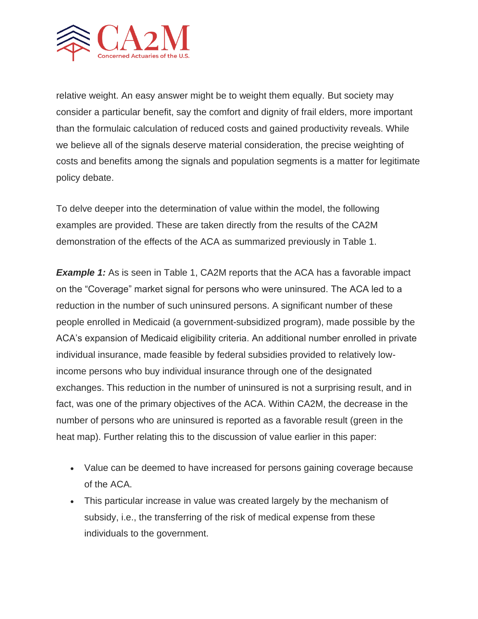

relative weight. An easy answer might be to weight them equally. But society may consider a particular benefit, say the comfort and dignity of frail elders, more important than the formulaic calculation of reduced costs and gained productivity reveals. While we believe all of the signals deserve material consideration, the precise weighting of costs and benefits among the signals and population segments is a matter for legitimate policy debate.

To delve deeper into the determination of value within the model, the following examples are provided. These are taken directly from the results of the CA2M demonstration of the effects of the ACA as summarized previously in Table 1.

**Example 1:** As is seen in Table 1, CA2M reports that the ACA has a favorable impact on the "Coverage" market signal for persons who were uninsured. The ACA led to a reduction in the number of such uninsured persons. A significant number of these people enrolled in Medicaid (a government-subsidized program), made possible by the ACA's expansion of Medicaid eligibility criteria. An additional number enrolled in private individual insurance, made feasible by federal subsidies provided to relatively lowincome persons who buy individual insurance through one of the designated exchanges. This reduction in the number of uninsured is not a surprising result, and in fact, was one of the primary objectives of the ACA. Within CA2M, the decrease in the number of persons who are uninsured is reported as a favorable result (green in the heat map). Further relating this to the discussion of value earlier in this paper:

- Value can be deemed to have increased for persons gaining coverage because of the ACA.
- This particular increase in value was created largely by the mechanism of subsidy, i.e., the transferring of the risk of medical expense from these individuals to the government.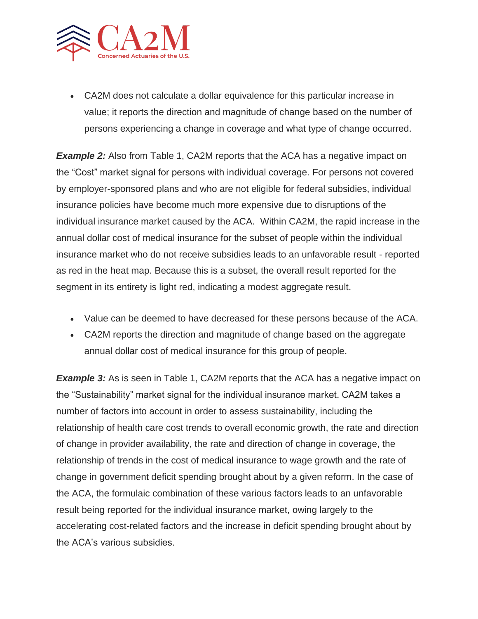

• CA2M does not calculate a dollar equivalence for this particular increase in value; it reports the direction and magnitude of change based on the number of persons experiencing a change in coverage and what type of change occurred.

**Example 2:** Also from Table 1, CA2M reports that the ACA has a negative impact on the "Cost" market signal for persons with individual coverage. For persons not covered by employer-sponsored plans and who are not eligible for federal subsidies, individual insurance policies have become much more expensive due to disruptions of the individual insurance market caused by the ACA. Within CA2M, the rapid increase in the annual dollar cost of medical insurance for the subset of people within the individual insurance market who do not receive subsidies leads to an unfavorable result - reported as red in the heat map. Because this is a subset, the overall result reported for the segment in its entirety is light red, indicating a modest aggregate result.

- Value can be deemed to have decreased for these persons because of the ACA.
- CA2M reports the direction and magnitude of change based on the aggregate annual dollar cost of medical insurance for this group of people.

**Example 3:** As is seen in Table 1, CA2M reports that the ACA has a negative impact on the "Sustainability" market signal for the individual insurance market. CA2M takes a number of factors into account in order to assess sustainability, including the relationship of health care cost trends to overall economic growth, the rate and direction of change in provider availability, the rate and direction of change in coverage, the relationship of trends in the cost of medical insurance to wage growth and the rate of change in government deficit spending brought about by a given reform. In the case of the ACA, the formulaic combination of these various factors leads to an unfavorable result being reported for the individual insurance market, owing largely to the accelerating cost-related factors and the increase in deficit spending brought about by the ACA's various subsidies.